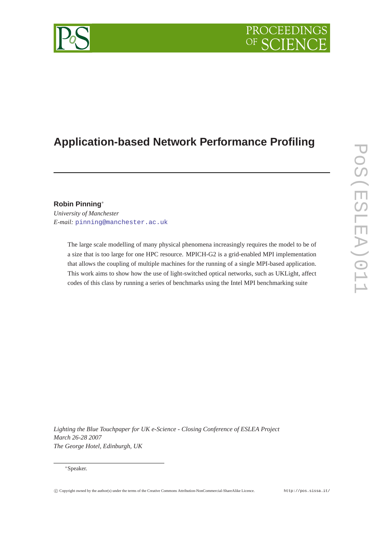# PROCEEDIN

# **Application-based Network Performance Profiling**

# **Robin Pinning**<sup>∗</sup>

*University of Manchester E-mail:* [pinning@manchester.ac.uk](mailto:pinning@manchester.ac.uk)

> The large scale modelling of many physical phenomena increasingly requires the model to be of a size that is too large for one HPC resource. MPICH-G2 is a grid-enabled MPI implementation that allows the coupling of multiple machines for the running of a single MPI-based application. This work aims to show how the use of light-switched optical networks, such as UKLight, affect codes of this class by running a series of benchmarks using the Intel MPI benchmarking suite

*Lighting the Blue Touchpaper for UK e-Science - Closing Conference of ESLEA Project March 26-28 2007 The George Hotel, Edinburgh, UK*

#### <sup>∗</sup>Speaker.

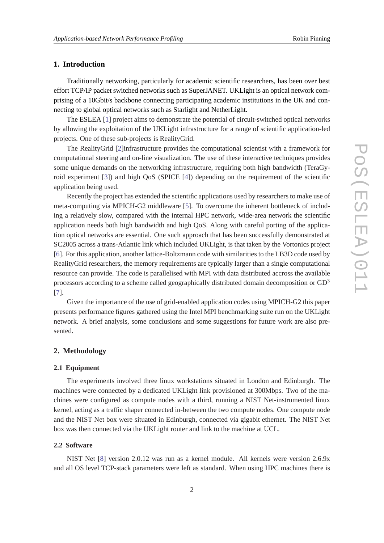# **1. Introduction**

Traditionally networking, particularly for academic scientific researchers, has been over best effort TCP/IP packet switched networks such as SuperJANET. UKLight is an optical network comprising of a 10Gbit/s backbone connecting participating academic institutions in the UK and connecting to global optical networks such as Starlight and NetherLight.

The ESLEA [\[1\]](#page-3-0) project aims to demonstrate the potential of circuit-switched optical networks by allowing the exploitation of the UKLight infrastructure for a range of scientific application-led projects. One of these sub-projects is RealityGrid.

The RealityGrid [[2](#page-3-0)]infrastructure provides the computational scientist with a framework for computational steering and on-line visualization. The use of these interactive techniques provides some unique demands on the networking infrastructure, requiring both high bandwidth (TeraGyroid experiment [[3](#page-3-0)]) and high QoS (SPICE [\[4\]](#page-3-0)) depending on the requirement of the scientific application being used.

Recently the project has extended the scientific applications used by researchers to make use of meta-computing via MPICH-G2 middleware [\[5\]](#page-3-0). To overcome the inherent bottleneck of including a relatively slow, compared with the internal HPC network, wide-area network the scientific application needs both high bandwidth and high QoS. Along with careful porting of the application optical networks are essential. One such approach that has been successfully demonstrated at SC2005 across a trans-Atlantic link which included UKLight, is that taken by the Vortonics project [[6](#page-4-0)]. For this application, another lattice-Boltzmann code with similarities to the LB3D code used by RealityGrid researchers, the memory requirements are typically larger than a single computational resource can provide. The code is parallelised with MPI with data distributed accross the available processors according to a scheme called geographically distributed domain decomposition or  $GD<sup>3</sup>$ [[7](#page-4-0)].

Given the importance of the use of grid-enabled application codes using MPICH-G2 this paper presents performance figures gathered using the Intel MPI benchmarking suite run on the UKLight network. A brief analysis, some conclusions and some suggestions for future work are also presented.

# **2. Methodology**

#### **2.1 Equipment**

The experiments involved three linux workstations situated in London and Edinburgh. The machines were connected by a dedicated UKLight link provisioned at 300Mbps. Two of the machines were configured as compute nodes with a third, running a NIST Net-instrumented linux kernel, acting as a traffic shaper connected in-between the two compute nodes. One compute node and the NIST Net box were situated in Edinburgh, connected via gigabit ethernet. The NIST Net box was then connected via the UKLight router and link to the machine at UCL.

#### **2.2 Software**

NIST Net [\[8\]](#page-4-0) version 2.0.12 was run as a kernel module. All kernels were version 2.6.9x and all OS level TCP-stack parameters were left as standard. When using HPC machines there is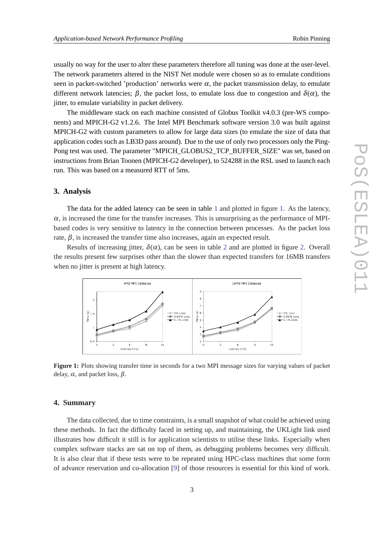usually no way for the user to alter these parameters therefore all tuning was done at the user-level. The network parameters altered in the NIST Net module were chosen so as to emulate conditions seen in packet-switched 'production' networks were  $\alpha$ , the packet transmission delay, to emulate different network latencies;  $\beta$ , the packet loss, to emulate loss due to congestion and  $\delta(\alpha)$ , the jitter, to emulate variability in packet delivery.

The middleware stack on each machine consisted of Globus Toolkit v4.0.3 (pre-WS components) and MPICH-G2 v1.2.6. The Intel MPI Benchmark software version 3.0 was built against MPICH-G2 with custom parameters to allow for large data sizes (to emulate the size of data that application codes such as LB3D pass around). Due to the use of only two processors only the Ping-Pong test was used. The parameter "MPICH\_GLOBUS2\_TCP\_BUFFER\_SIZE" was set, based on instructions from Brian Toonen (MPICH-G2 developer), to 524288 in the RSL used to launch each run. This was based on a measured RTT of 5ms.

#### **3. Analysis**

The data for the added latency can be seen in table [1](#page-3-0) and plotted in figure 1. As the latency,  $\alpha$ , is increased the time for the transfer increases. This is unsurprising as the performance of MPIbased codes is very sensitive to latency in the connection between processes. As the packet loss rate,  $\beta$ , is increased the transfer time also increases, again an expected result.

Results of increasing jitter,  $\delta(\alpha)$ , can be seen in table [2](#page-3-0) and are plotted in figure 2. Overall the results present few surprises other than the slower than expected transfers for 16MB transfers when no jitter is present at high latency.



**Figure 1:** Plots showing transfer time in seconds for a two MPI message sizes for varying values of packet delay,  $\alpha$ , and packet loss,  $\beta$ .

### **4. Summary**

The data collected, due to time constraints, is a small snapshot of what could be achieved using these methods. In fact the difficulty faced in setting up, and maintaining, the UKLight link used illustrates how difficult it still is for application scientists to utilise these links. Especially when complex software stacks are sat on top of them, as debugging problems becomes very difficult. It is also clear that if these tests were to be repeated using HPC-class machines that some form of advance reservation and co-allocation [\[9\]](#page-4-0) of those resources is essential for this kind of work.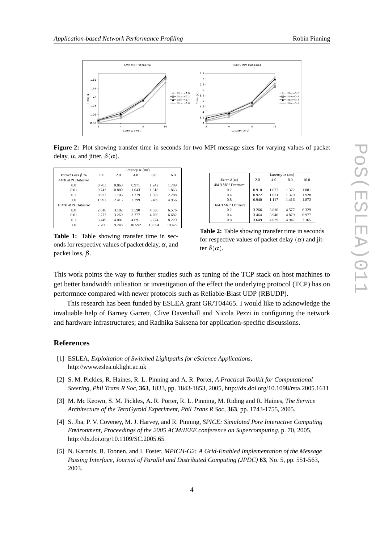<span id="page-3-0"></span>

**Figure 2:** Plot showing transfer time in seconds for two MPI message sizes for varying values of packet delay,  $\alpha$ , and jitter,  $\delta(\alpha)$ .

|                         | Latency $\alpha$ (ms) |       |        |        |        |
|-------------------------|-----------------------|-------|--------|--------|--------|
| Packet Loss $\beta$ %   | 0.0                   | 2.0   | 4.0    | 8.0    | 16.0   |
| <b>4MB MPI Datasize</b> |                       |       |        |        |        |
| 0.0                     | 0.703                 | 0.860 | 0.971  | 1.242  | 1.789  |
| 0.01                    | 0.743                 | 0.889 | 1.043  | 1.318  | 1.863  |
| 0.1                     | 0.927                 | 1.106 | 1.279  | 1.592  | 2.288  |
| 1.0                     | 1.997                 | 2.415 | 2.799  | 3.489  | 4.956  |
| 16MB MPI Datasize       |                       |       |        |        |        |
| 0.0                     | 2.618                 | 3.182 | 3.590  | 4.630  | 6.576  |
| 0.01                    | 2.777                 | 3.260 | 3.777  | 4.760  | 6.682  |
| 0.1                     | 3.449                 | 4.002 | 4.691  | 5.774  | 8.229  |
| 1.0                     | 7.760                 | 9.248 | 10.592 | 13.694 | 19.427 |

**Table 1:** Table showing transfer time in seconds for respective values of packet delay,  $\alpha$ , and packet loss, β.

|                                | Latency $\alpha$ (ms) |       |       |       |  |  |
|--------------------------------|-----------------------|-------|-------|-------|--|--|
| <i>Jitter</i> $\delta(\alpha)$ | 2.0                   | 4.0   | 8.0   | 16.0  |  |  |
| <b>4MB MPI Datasize</b>        |                       |       |       |       |  |  |
| 0.2                            | 0.910                 | 1.027 | 1.372 | 1.881 |  |  |
| 0.4                            | 0.922                 | 1.071 | 1.379 | 1.928 |  |  |
| 0.8                            | 0.940                 | 1.117 | 1.416 | 1.872 |  |  |
| 16MB MPI Datasize              |                       |       |       |       |  |  |
| 0.2                            | 3.266                 | 3.810 | 4.577 | 6.329 |  |  |
| 0.4                            | 3.464                 | 3.940 | 4.879 | 6.977 |  |  |
| 0.8                            | 3.649                 | 4.029 | 4.947 | 7.165 |  |  |

**Table 2:** Table showing transfer time in seconds for respective values of packet delay  $(\alpha)$  and jitter  $\delta(\alpha)$ .

This work points the way to further studies such as tuning of the TCP stack on host machines to get better bandwidth utilisation or investigation of the effect the underlying protocol (TCP) has on performnce compared with newer protocols such as Reliable-Blast UDP (RBUDP).

This research has been funded by ESLEA grant GR/T04465. I would like to acknowledge the invaluable help of Barney Garrett, Clive Davenhall and Nicola Pezzi in configuring the network and hardware infrastructures; and Radhika Saksena for application-specific discussions.

# **References**

- [1] ESLEA, *Exploitation of Switched Lightpaths for eScience Applications*, http://www.eslea.uklight.ac.uk
- [2] S. M. Pickles, R. Haines, R. L. Pinning and A. R. Porter, *A Practical Toolkit for Computational Steering*, *Phil Trans R Soc*, **363**, 1833, pp. 1843-1853, 2005, http://dx.doi.org/10.1098/rsta.2005.1611
- [3] M. Mc Keown, S. M. Pickles, A. R. Porter, R. L. Pinning, M. Riding and R. Haines, *The Service Architecture of the TeraGyroid Experiment*, *Phil Trans R Soc*, **363**, pp. 1743-1755, 2005.
- [4] S. Jha, P. V. Coveney, M. J. Harvey, and R. Pinning, *SPICE: Simulated Pore Interactive Computing Environment*, *Proceedings of the 2005 ACM/IEEE conference on Supercomputing*, p. 70, 2005, http://dx.doi.org/10.1109/SC.2005.65
- [5] N. Karonis, B. Toonen, and I. Foster, *MPICH-G2: A Grid-Enabled Implementation of the Message Passing Interface*, *Journal of Parallel and Distributed Computing (JPDC)* **63**, No. 5, pp. 551-563, 2003.